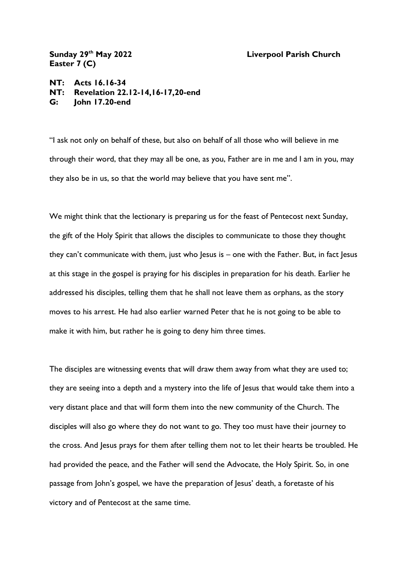## **th May 2022 Liverpool Parish Church**

Sunday 29<sup>th</sup> May 2022 **Easter 7 (C)**

**NT: Acts 16.16-34 NT: Revelation 22.12-14,16-17,20-end G: John 17.20-end**

"I ask not only on behalf of these, but also on behalf of all those who will believe in me through their word, that they may all be one, as you, Father are in me and I am in you, may they also be in us, so that the world may believe that you have sent me".

We might think that the lectionary is preparing us for the feast of Pentecost next Sunday, the gift of the Holy Spirit that allows the disciples to communicate to those they thought they can't communicate with them, just who Jesus is – one with the Father. But, in fact Jesus at this stage in the gospel is praying for his disciples in preparation for his death. Earlier he addressed his disciples, telling them that he shall not leave them as orphans, as the story moves to his arrest. He had also earlier warned Peter that he is not going to be able to make it with him, but rather he is going to deny him three times.

The disciples are witnessing events that will draw them away from what they are used to; they are seeing into a depth and a mystery into the life of Jesus that would take them into a very distant place and that will form them into the new community of the Church. The disciples will also go where they do not want to go. They too must have their journey to the cross. And Jesus prays for them after telling them not to let their hearts be troubled. He had provided the peace, and the Father will send the Advocate, the Holy Spirit. So, in one passage from John's gospel, we have the preparation of Jesus' death, a foretaste of his victory and of Pentecost at the same time.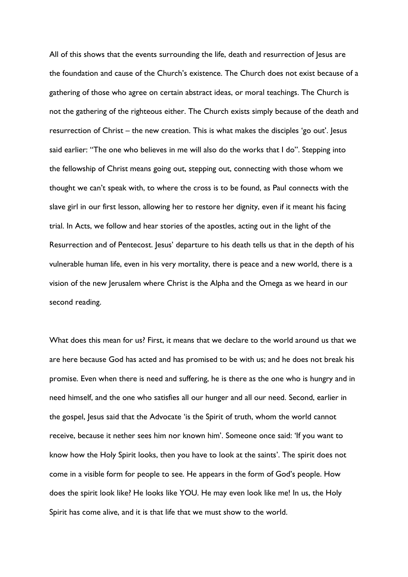All of this shows that the events surrounding the life, death and resurrection of Jesus are the foundation and cause of the Church's existence. The Church does not exist because of a gathering of those who agree on certain abstract ideas, or moral teachings. The Church is not the gathering of the righteous either. The Church exists simply because of the death and resurrection of Christ – the new creation. This is what makes the disciples 'go out'. Jesus said earlier: "The one who believes in me will also do the works that I do". Stepping into the fellowship of Christ means going out, stepping out, connecting with those whom we thought we can't speak with, to where the cross is to be found, as Paul connects with the slave girl in our first lesson, allowing her to restore her dignity, even if it meant his facing trial. In Acts, we follow and hear stories of the apostles, acting out in the light of the Resurrection and of Pentecost. Jesus' departure to his death tells us that in the depth of his vulnerable human life, even in his very mortality, there is peace and a new world, there is a vision of the new Jerusalem where Christ is the Alpha and the Omega as we heard in our second reading.

What does this mean for us? First, it means that we declare to the world around us that we are here because God has acted and has promised to be with us; and he does not break his promise. Even when there is need and suffering, he is there as the one who is hungry and in need himself, and the one who satisfies all our hunger and all our need. Second, earlier in the gospel, Jesus said that the Advocate 'is the Spirit of truth, whom the world cannot receive, because it nether sees him nor known him'. Someone once said: 'If you want to know how the Holy Spirit looks, then you have to look at the saints'. The spirit does not come in a visible form for people to see. He appears in the form of God's people. How does the spirit look like? He looks like YOU. He may even look like me! In us, the Holy Spirit has come alive, and it is that life that we must show to the world.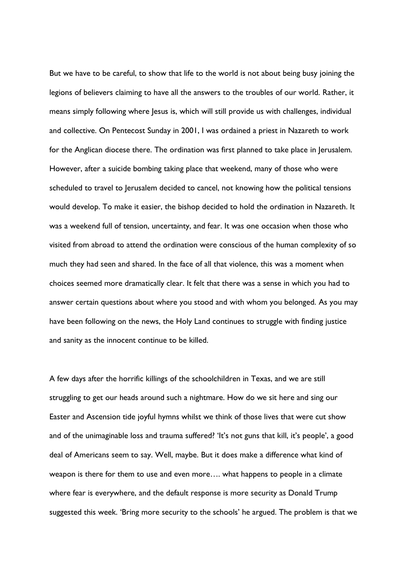But we have to be careful, to show that life to the world is not about being busy joining the legions of believers claiming to have all the answers to the troubles of our world. Rather, it means simply following where Jesus is, which will still provide us with challenges, individual and collective. On Pentecost Sunday in 2001, I was ordained a priest in Nazareth to work for the Anglican diocese there. The ordination was first planned to take place in Jerusalem. However, after a suicide bombing taking place that weekend, many of those who were scheduled to travel to Jerusalem decided to cancel, not knowing how the political tensions would develop. To make it easier, the bishop decided to hold the ordination in Nazareth. It was a weekend full of tension, uncertainty, and fear. It was one occasion when those who visited from abroad to attend the ordination were conscious of the human complexity of so much they had seen and shared. In the face of all that violence, this was a moment when choices seemed more dramatically clear. It felt that there was a sense in which you had to answer certain questions about where you stood and with whom you belonged. As you may have been following on the news, the Holy Land continues to struggle with finding justice and sanity as the innocent continue to be killed.

A few days after the horrific killings of the schoolchildren in Texas, and we are still struggling to get our heads around such a nightmare. How do we sit here and sing our Easter and Ascension tide joyful hymns whilst we think of those lives that were cut show and of the unimaginable loss and trauma suffered? 'It's not guns that kill, it's people', a good deal of Americans seem to say. Well, maybe. But it does make a difference what kind of weapon is there for them to use and even more…. what happens to people in a climate where fear is everywhere, and the default response is more security as Donald Trump suggested this week. 'Bring more security to the schools' he argued. The problem is that we